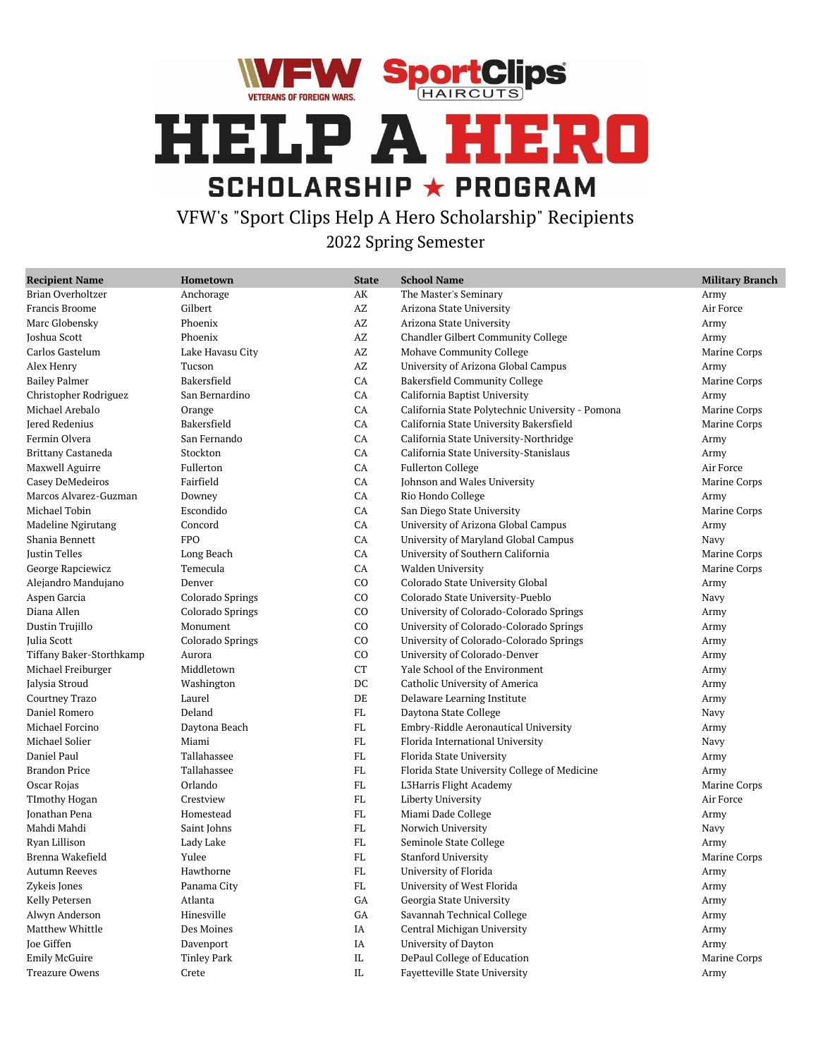



VFW's "Sport Clips Help A Hero Scholarship" Recipients 2022 Spring Semester

| <b>Recipient Name</b>    | Hometown           | <b>State</b>           | <b>School Name</b>                               | <b>Military Branch</b> |
|--------------------------|--------------------|------------------------|--------------------------------------------------|------------------------|
| Brian Overholtzer        | Anchorage          | AK                     | The Master's Seminary                            | Army                   |
| Francis Broome           | Gilbert            | $\mathbf{A}\mathbf{Z}$ | Arizona State University                         | Air Force              |
| Marc Globensky           | Phoenix            | $\mathbf{A}\mathbf{Z}$ | Arizona State University                         | Army                   |
| Joshua Scott             | Phoenix            | $\mathbf{A}\mathbf{Z}$ | Chandler Gilbert Community College               | Army                   |
| Carlos Gastelum          | Lake Havasu City   | AZ                     | Mohave Community College                         | Marine Corps           |
| Alex Henry               | Tucson             | AZ                     | University of Arizona Global Campus              | Army                   |
| <b>Bailey Palmer</b>     | Bakersfield        | ${\rm CA}$             | <b>Bakersfield Community College</b>             | Marine Corps           |
| Christopher Rodriguez    | San Bernardino     | CA                     | California Baptist University                    | Army                   |
| Michael Arebalo          | Orange             | CA                     | California State Polytechnic University - Pomona | Marine Corps           |
| Jered Redenius           | Bakersfield        | CA                     | California State University Bakersfield          | Marine Corps           |
| Fermin Olvera            | San Fernando       | CA                     | California State University-Northridge           | Army                   |
| Brittany Castaneda       | Stockton           | ${\rm CA}$             | California State University-Stanislaus           | Army                   |
| Maxwell Aguirre          | Fullerton          | ${\rm CA}$             | <b>Fullerton College</b>                         | Air Force              |
| Casey DeMedeiros         | Fairfield          | CA                     | Johnson and Wales University                     | Marine Corps           |
| Marcos Alvarez-Guzman    | Downey             | CA                     | Rio Hondo College                                | Army                   |
| Michael Tobin            | Escondido          | CA                     | San Diego State University                       | Marine Corps           |
| Madeline Ngirutang       | Concord            | ${\rm CA}$             | University of Arizona Global Campus              | Army                   |
| Shania Bennett           | <b>FPO</b>         | CA                     | University of Maryland Global Campus             | Navy                   |
| Justin Telles            | Long Beach         | CA                     | University of Southern California                | Marine Corps           |
| George Rapciewicz        | Temecula           | CA                     | Walden University                                | Marine Corps           |
| Alejandro Mandujano      | Denver             | CO                     | Colorado State University Global                 | Army                   |
| Aspen Garcia             | Colorado Springs   | CO                     | Colorado State University-Pueblo                 | Navy                   |
| Diana Allen              | Colorado Springs   | CO                     | University of Colorado-Colorado Springs          | Army                   |
| Dustin Trujillo          | Monument           | CO                     | University of Colorado-Colorado Springs          | Army                   |
| Julia Scott              | Colorado Springs   | CO                     | University of Colorado-Colorado Springs          | Army                   |
| Tiffany Baker-Storthkamp | Aurora             | CO                     | University of Colorado-Denver                    | Army                   |
| Michael Freiburger       | Middletown         | CT                     | Yale School of the Environment                   | Army                   |
| Jalysia Stroud           | Washington         | DC                     | Catholic University of America                   | Army                   |
| Courtney Trazo           | Laurel             | DE                     | Delaware Learning Institute                      | Army                   |
| Daniel Romero            | Deland             | FL                     | Daytona State College                            | Navy                   |
| Michael Forcino          | Daytona Beach      | FL                     | Embry-Riddle Aeronautical University             | Army                   |
| Michael Solier           | Miami              | FL                     | Florida International University                 | Navy                   |
| Daniel Paul              | Tallahassee        | FL                     | Florida State University                         | Army                   |
| <b>Brandon Price</b>     | Tallahassee        | FL                     | Florida State University College of Medicine     | Army                   |
| Oscar Rojas              | Orlando            | FL                     | L3Harris Flight Academy                          | Marine Corps           |
| TImothy Hogan            | Crestview          | FL                     | Liberty University                               | Air Force              |
| Jonathan Pena            | Homestead          | FL                     | Miami Dade College                               | Army                   |
| Mahdi Mahdi              | Saint Johns        | FL                     | Norwich University                               | Navy                   |
| Ryan Lillison            | Lady Lake          | FL                     | Seminole State College                           | Army                   |
| Brenna Wakefield         | Yulee              | FL                     | <b>Stanford University</b>                       | Marine Corps           |
| Autumn Reeves            | Hawthorne          | FL                     | University of Florida                            | Army                   |
| Zykeis Jones             | Panama City        | FL                     | University of West Florida                       | Army                   |
| Kelly Petersen           | Atlanta            | GA                     | Georgia State University                         | Army                   |
| Alwyn Anderson           | Hinesville         | GA                     | Savannah Technical College                       | Army                   |
| Matthew Whittle          | Des Moines         | IA                     | Central Michigan University                      | Army                   |
| <b>Joe Giffen</b>        | Davenport          | IA                     | University of Dayton                             | Army                   |
| <b>Emily McGuire</b>     | <b>Tinley Park</b> | $\rm IL$               | DePaul College of Education                      | Marine Corps           |
| <b>Treazure Owens</b>    | Crete              | $\rm IL$               | Fayetteville State University                    | Army                   |
|                          |                    |                        |                                                  |                        |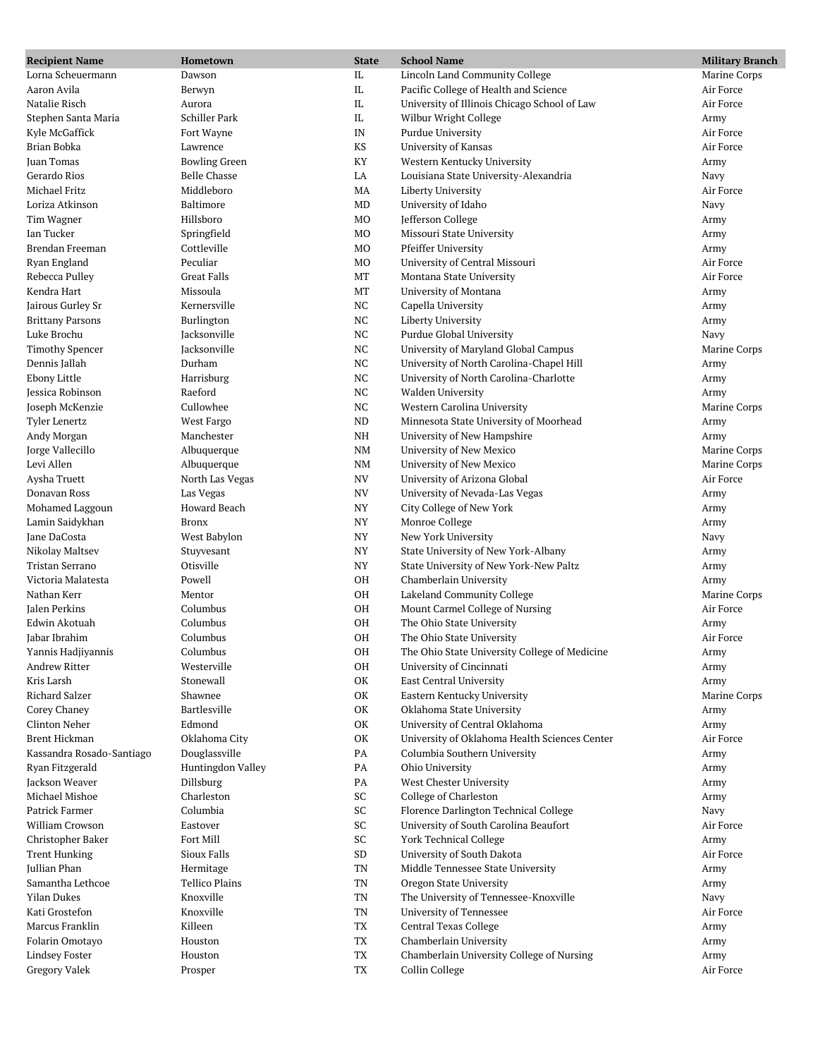| <b>Recipient Name</b>     | Hometown                           | <b>State</b> | <b>School Name</b>                              | <b>Military Branch</b> |
|---------------------------|------------------------------------|--------------|-------------------------------------------------|------------------------|
| Lorna Scheuermann         | Dawson                             | $\rm IL$     | Lincoln Land Community College                  | Marine Corps           |
| Aaron Avila               | Berwyn                             | IL           | Pacific College of Health and Science           | Air Force              |
| Natalie Risch             | Aurora                             | $\rm IL$     | University of Illinois Chicago School of Law    | Air Force              |
| Stephen Santa Maria       | Schiller Park                      | IL           | Wilbur Wright College                           | Army                   |
| Kyle McGaffick            | Fort Wayne                         | IN           | Purdue University                               | Air Force              |
| Brian Bobka               | Lawrence                           | KS           | University of Kansas                            | Air Force              |
| Juan Tomas                | <b>Bowling Green</b>               | KY           | Western Kentucky University                     | Army                   |
| Gerardo Rios              | Belle Chasse                       | LA           | Louisiana State University-Alexandria           | Navy                   |
| Michael Fritz             | Middleboro                         | MA           | Liberty University                              | Air Force              |
| Loriza Atkinson           | Baltimore                          | MD           | University of Idaho                             | Navy                   |
| Tim Wagner                | Hillsboro                          | MO           | Jefferson College                               | Army                   |
| Ian Tucker                | Springfield                        | MO           | Missouri State University                       | Army                   |
| Brendan Freeman           | Cottleville                        | MO           | <b>Pfeiffer University</b>                      | Army                   |
| Ryan England              | Peculiar                           | MO           | University of Central Missouri                  | Air Force              |
| Rebecca Pulley            | <b>Great Falls</b>                 | MT           | Montana State University                        | Air Force              |
| Kendra Hart               | Missoula                           | MT           | University of Montana                           | Army                   |
| Jairous Gurley Sr         | Kernersville                       | $_{\rm NC}$  | Capella University                              | Army                   |
| <b>Brittany Parsons</b>   | Burlington                         | NC           | Liberty University                              | Army                   |
| Luke Brochu               | Jacksonville                       | NC           | Purdue Global University                        | Navy                   |
| <b>Timothy Spencer</b>    | Jacksonville                       | <b>NC</b>    | University of Maryland Global Campus            | Marine Corps           |
| Dennis Jallah             | Durham                             | $_{\rm NC}$  | University of North Carolina-Chapel Hill        | Army                   |
| Ebony Little              | Harrisburg                         | $_{\rm NC}$  | University of North Carolina-Charlotte          | Army                   |
| Jessica Robinson          | Raeford                            | NC           | <b>Walden University</b>                        | Army                   |
| Joseph McKenzie           | Cullowhee                          | <b>NC</b>    | Western Carolina University                     | Marine Corps           |
| <b>Tyler Lenertz</b>      | West Fargo                         | <b>ND</b>    | Minnesota State University of Moorhead          | Army                   |
| Andy Morgan               | Manchester                         | $\rm{NH}$    | University of New Hampshire                     | Army                   |
| Jorge Vallecillo          | Albuquerque                        | NM           | University of New Mexico                        | Marine Corps           |
| Levi Allen                | Albuquerque                        | NM           | University of New Mexico                        | Marine Corps           |
| Aysha Truett              | North Las Vegas                    | NV           | University of Arizona Global                    | Air Force              |
| Donavan Ross              | Las Vegas                          | <b>NV</b>    | University of Nevada-Las Vegas                  | Army                   |
| Mohamed Laggoun           | Howard Beach                       | <b>NY</b>    | City College of New York                        | Army                   |
| Lamin Saidykhan           | <b>Bronx</b>                       | <b>NY</b>    | Monroe College                                  | Army                   |
| Jane DaCosta              | West Babylon                       | NY           | New York University                             | Navy                   |
| Nikolay Maltsev           | Stuyvesant                         | <b>NY</b>    | State University of New York-Albany             | Army                   |
| Tristan Serrano           | Otisville                          | NY           | State University of New York-New Paltz          | Army                   |
| Victoria Malatesta        | Powell                             | OH           | Chamberlain University                          | Army                   |
| Nathan Kerr               | Mentor                             | OH           | Lakeland Community College                      | Marine Corps           |
| Jalen Perkins             | Columbus                           | OH           | Mount Carmel College of Nursing                 | Air Force              |
| Edwin Akotuah             | Columbus                           | OH           | The Ohio State University                       | Army                   |
| Jabar Ibrahim             | Columbus                           | OH           | The Ohio State University                       | Air Force              |
| Yannis Hadjiyannis        | Columbus                           | OH           | The Ohio State University College of Medicine   | Army                   |
| Andrew Ritter             | Westerville                        | OH           | University of Cincinnati                        | Army                   |
| Kris Larsh                | Stonewall                          | OK           | East Central University                         | Army                   |
| <b>Richard Salzer</b>     | Shawnee                            | OK           | Eastern Kentucky University                     | Marine Corps           |
| Corey Chaney              | Bartlesville                       | OK           | Oklahoma State University                       |                        |
| Clinton Neher             | Edmond                             | OK           | University of Central Oklahoma                  | Army<br>Army           |
| <b>Brent Hickman</b>      | Oklahoma City                      | OK           | University of Oklahoma Health Sciences Center   | Air Force              |
| Kassandra Rosado-Santiago |                                    | PA           |                                                 |                        |
| Ryan Fitzgerald           | Douglassville<br>Huntingdon Valley | PA           | Columbia Southern University<br>Ohio University | Army                   |
| Jackson Weaver            | Dillsburg                          | PA           | West Chester University                         | Army                   |
| Michael Mishoe            | Charleston                         | SC           | College of Charleston                           | Army                   |
| Patrick Farmer            | Columbia                           | SC           |                                                 | Army                   |
| William Crowson           |                                    | SC           | Florence Darlington Technical College           | Navy                   |
|                           | Eastover                           |              | University of South Carolina Beaufort           | Air Force              |
| Christopher Baker         | Fort Mill                          | SC           | <b>York Technical College</b>                   | Army                   |
| <b>Trent Hunking</b>      | Sioux Falls                        | <b>SD</b>    | University of South Dakota                      | Air Force              |
| Jullian Phan              | Hermitage                          | TN           | Middle Tennessee State University               | Army                   |
| Samantha Lethcoe          | Tellico Plains                     | TN           | Oregon State University                         | Army                   |
| <b>Yilan Dukes</b>        | Knoxville                          | TN           | The University of Tennessee-Knoxville           | Navy                   |
| Kati Grostefon            | Knoxville                          | TN           | University of Tennessee                         | Air Force              |
| Marcus Franklin           | Killeen                            | TX           | Central Texas College                           | Army                   |
| Folarin Omotayo           | Houston                            | TX           | Chamberlain University                          | Army                   |
| <b>Lindsey Foster</b>     | Houston                            | TX           | Chamberlain University College of Nursing       | Army                   |
| Gregory Valek             | Prosper                            | TX           | Collin College                                  | Air Force              |